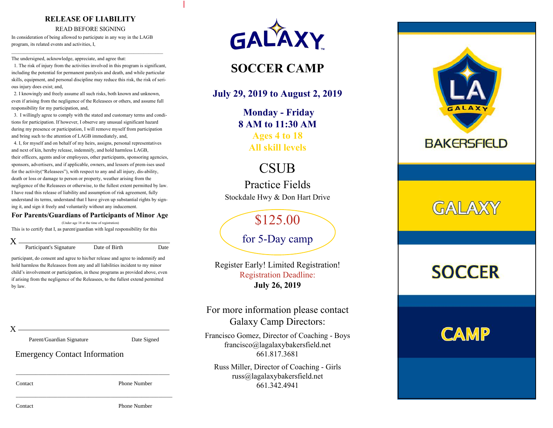### **RELEASE OF LIABILITY**

#### READ BEFORE SIGNING

In consideration of being allowed to participate in any way in the LAGB program, its related events and activities, I,

The undersigned, acknowledge, appreciate, and agree that:

1. The risk of injury from the activities involved in this program is significant, including the potential for permanent paralysis and death, and while particular skills, equipment, and personal discipline may reduce this risk, the risk of serious injury does exist; and,

 $\mathcal{L}_\text{max}$  and the contract of the contract of the contract of the contract of the contract of the contract of

2. I knowingly and freely assume all such risks, both known and unknown, even if arising from the negligence of the Releasees or others, and assume full responsibility for my participation, and,

3. I willingly agree to comply with the stated and customary terms and conditions for participation. If however, I observe any unusual significant hazard during my presence or participation, I will remove myself from participation and bring such to the attention of LAGB immediately, and,

4. I, for myself and on behalf of my heirs, assigns, personal representatives and next of kin, hereby release, indemnify, and hold harmless LAGB, their officers, agents and/or employees, other participants, sponsoring agencies, sponsors, advertisers, and if applicable, owners, and lessors of prem-ises used for the activity("Releasees"), with respect to any and all injury, dis-ability, death or loss or damage to person or property, weather arising from the negligence of the Releasees or otherwise, to the fullest extent permitted by law. I have read this release of liability and assumption of risk agreement, fully understand its terms, understand that I have given up substantial rights by signing it, and sign it freely and voluntarily without any inducement.

#### **For Parents/Guardians of Participants of Minor Age**

(Under age 18 at the time of registration) This is to certify that I, as parent/guardian with legal responsibility for this

 $\mathbf{X}$ . Participant's Signature Date of Birth Date

participant, do consent and agree to his/her release and agree to indemnify and hold harmless the Releasees from any and all liabilities incident to my minor child's involvement or participation, in these programs as provided above, even if arising from the negligence of the Releasees, to the fullest extend permitted by law.

\_\_\_\_\_\_\_\_\_\_\_\_\_\_\_\_\_\_\_\_\_\_\_\_\_\_\_\_\_\_\_\_\_\_\_\_\_\_\_\_\_\_\_\_\_\_\_\_\_\_\_\_\_\_\_

\_\_\_\_\_\_\_\_\_\_\_\_\_\_\_\_\_\_\_\_\_\_\_\_\_\_\_\_\_\_\_\_\_\_\_\_\_\_\_\_\_\_\_\_\_\_\_\_\_\_\_\_\_\_\_\_

 $X -$ 

Parent/Guardian Signature Date Signed

Emergency Contact Information

Contact Phone Number



### **SOCCER CAMP**

### **July 29, 2019 to August 2, 2019**

**Monday - Friday 8 AM to 11:30 <sup>A</sup><sup>M</sup>Ages 4 to 18All skill levels**

## **CSUB**

 Practice FieldsStockdale Hwy & Don Hart Drive

\$125.00

for 5-Day camp

Register Early! Limited Registration!Registration Deadline:**July 26, 2019**

For more information please contactGalaxy Camp Directors:

Francisco Gomez, Director of Coaching - Boysfrancisco@lagalaxybakersfield.net661.817.3681

Russ Miller, Director of Coaching - Girlsruss@lagalaxybakersfield.net661.342.4941



# GALAXY

# **SOCCER**

## **CAMP**

Contact Phone Number